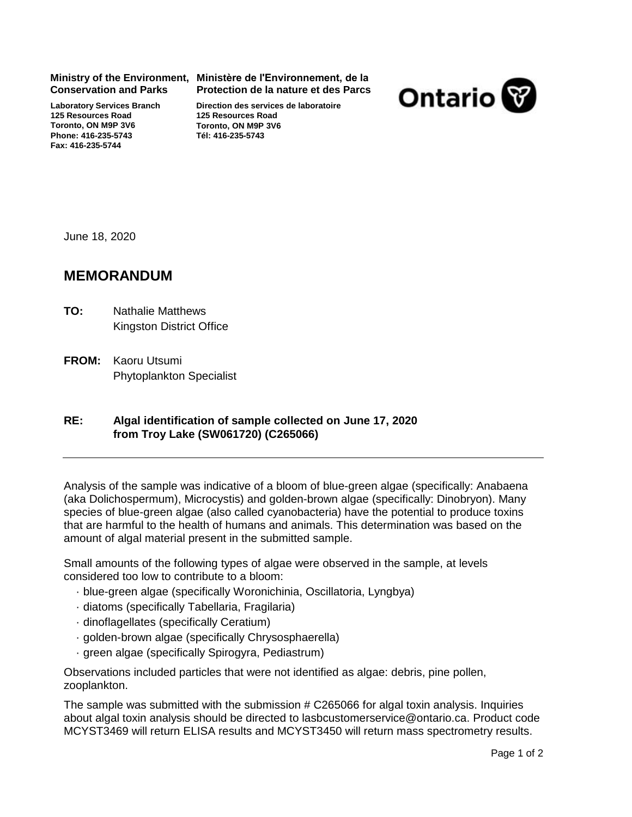**Conservation and Parks**

**Laboratory Services Branch 125 Resources Road Toronto, ON M9P 3V6 Phone: 416-235-5743 Fax: 416-235-5744**

## **Ministry of the Environment, Ministère de l'Environnement, de la Protection de la nature et des Parcs**





June 18, 2020

## **MEMORANDUM**

- Nathalie Matthews Kingston District Office **TO:**
- **FROM:** Kaoru Utsumi Phytoplankton Specialist

## **Algal identification of sample collected on RE: June 17, 2020 from Troy Lake (SW061720) (C265066)**

Analysis of the sample was indicative of a bloom of blue-green algae (specifically: Anabaena (aka Dolichospermum), Microcystis) and golden-brown algae (specifically: Dinobryon). Many species of blue-green algae (also called cyanobacteria) have the potential to produce toxins that are harmful to the health of humans and animals. This determination was based on the amount of algal material present in the submitted sample.

Small amounts of the following types of algae were observed in the sample, at levels considered too low to contribute to a bloom:

- · blue-green algae (specifically Woronichinia, Oscillatoria, Lyngbya)
- · diatoms (specifically Tabellaria, Fragilaria)
- · dinoflagellates (specifically Ceratium)
- · golden-brown algae (specifically Chrysosphaerella)
- · green algae (specifically Spirogyra, Pediastrum)

Observations included particles that were not identified as algae: debris, pine pollen, zooplankton.

The sample was submitted with the submission # C265066 for algal toxin analysis. Inquiries about algal toxin analysis should be directed to lasbcustomerservice@ontario.ca. Product code MCYST3469 will return ELISA results and MCYST3450 will return mass spectrometry results.